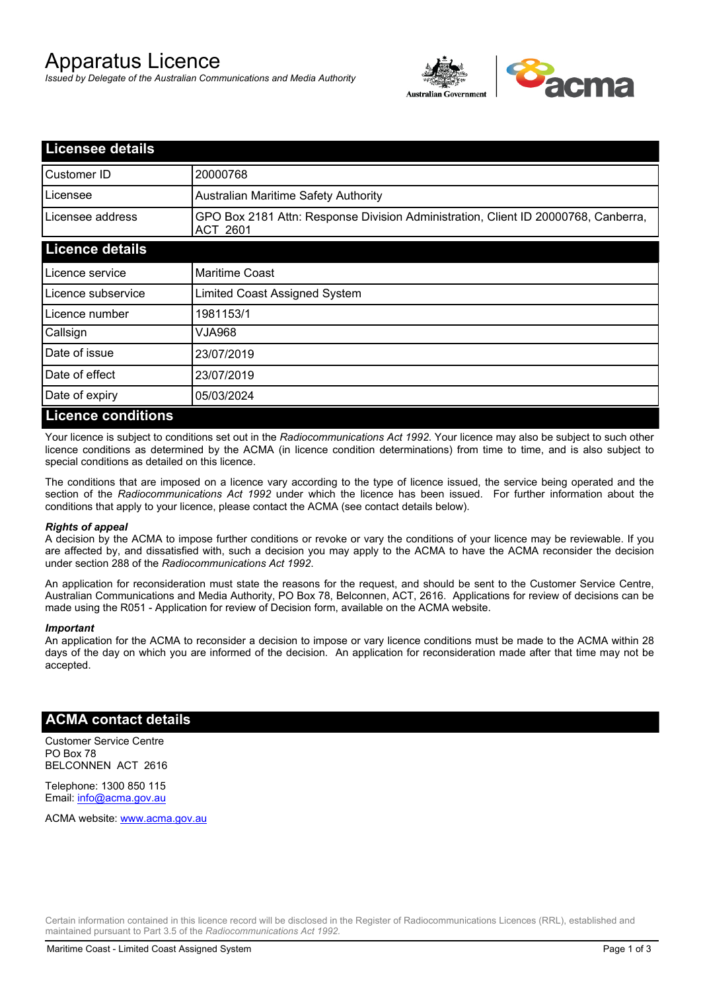# Apparatus Licence

*Issued by Delegate of the Australian Communications and Media Authority*



| <b>Licensee details</b>   |                                                                                                       |
|---------------------------|-------------------------------------------------------------------------------------------------------|
| Customer ID               | 20000768                                                                                              |
| Licensee                  | <b>Australian Maritime Safety Authority</b>                                                           |
| Licensee address          | GPO Box 2181 Attn: Response Division Administration, Client ID 20000768, Canberra,<br><b>ACT 2601</b> |
| <b>Licence details</b>    |                                                                                                       |
| Licence service           | <b>Maritime Coast</b>                                                                                 |
| Licence subservice        | Limited Coast Assigned System                                                                         |
| Licence number            | 1981153/1                                                                                             |
| Callsign                  | 830ALV                                                                                                |
| Date of issue             | 23/07/2019                                                                                            |
| Date of effect            | 23/07/2019                                                                                            |
| Date of expiry            | 05/03/2024                                                                                            |
| <b>Licence conditions</b> |                                                                                                       |

Your licence is subject to conditions set out in the *Radiocommunications Act 1992*. Your licence may also be subject to such other licence conditions as determined by the ACMA (in licence condition determinations) from time to time, and is also subject to special conditions as detailed on this licence.

The conditions that are imposed on a licence vary according to the type of licence issued, the service being operated and the section of the *Radiocommunications Act 1992* under which the licence has been issued. For further information about the conditions that apply to your licence, please contact the ACMA (see contact details below).

### *Rights of appeal*

A decision by the ACMA to impose further conditions or revoke or vary the conditions of your licence may be reviewable. If you are affected by, and dissatisfied with, such a decision you may apply to the ACMA to have the ACMA reconsider the decision under section 288 of the *Radiocommunications Act 1992*.

An application for reconsideration must state the reasons for the request, and should be sent to the Customer Service Centre, Australian Communications and Media Authority, PO Box 78, Belconnen, ACT, 2616. Applications for review of decisions can be made using the R051 - Application for review of Decision form, available on the ACMA website.

#### *Important*

An application for the ACMA to reconsider a decision to impose or vary licence conditions must be made to the ACMA within 28 days of the day on which you are informed of the decision. An application for reconsideration made after that time may not be accepted.

### **ACMA contact details**

Customer Service Centre PO Box 78 BELCONNEN ACT 2616

Telephone: 1300 850 115 Email: info@acma.gov.au

ACMA website: www.acma.gov.au

Certain information contained in this licence record will be disclosed in the Register of Radiocommunications Licences (RRL), established and maintained pursuant to Part 3.5 of the *Radiocommunications Act 1992.*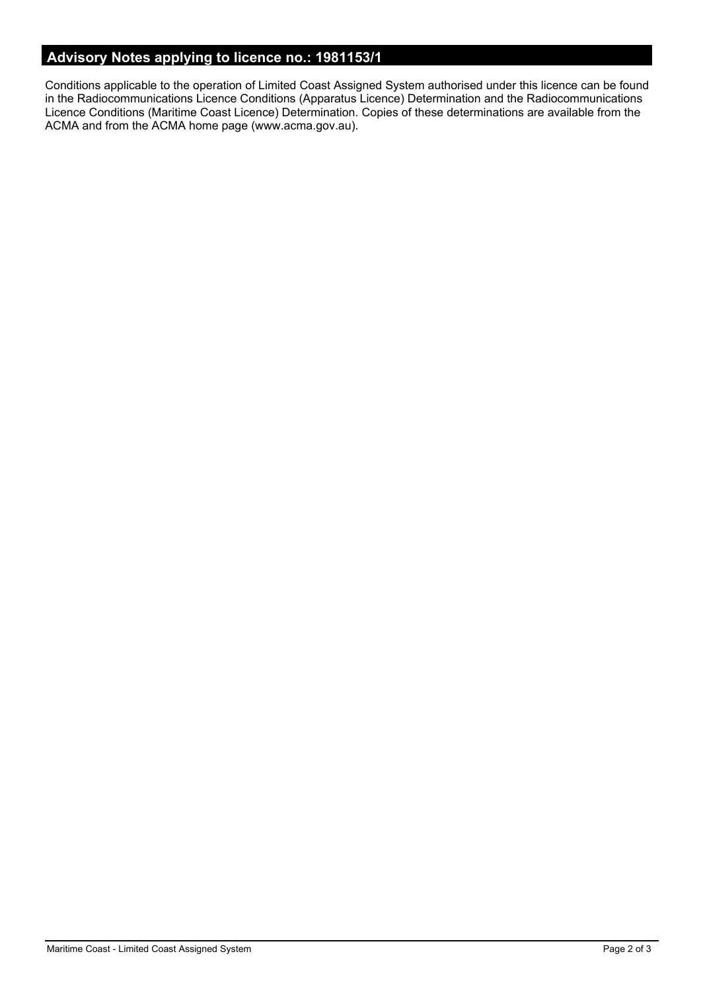# **Advisory Notes applying to licence no.: 1981153/1**

Conditions applicable to the operation of Limited Coast Assigned System authorised under this licence can be found in the Radiocommunications Licence Conditions (Apparatus Licence) Determination and the Radiocommunications Licence Conditions (Maritime Coast Licence) Determination. Copies of these determinations are available from the ACMA and from the ACMA home page (www.acma.gov.au).